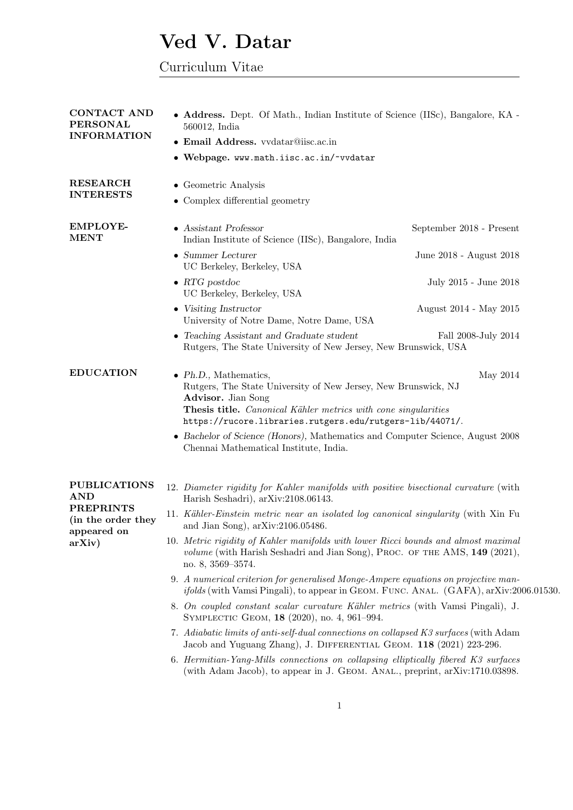# Ved V. Datar

## Curriculum Vitae

| <b>CONTACT AND</b><br><b>PERSONAL</b>                 | • Address. Dept. Of Math., Indian Institute of Science (IISc), Bangalore, KA -<br>560012, India                                                                                                                                                     |                          |  |
|-------------------------------------------------------|-----------------------------------------------------------------------------------------------------------------------------------------------------------------------------------------------------------------------------------------------------|--------------------------|--|
| <b>INFORMATION</b>                                    | • Email Address. vvdatar@iisc.ac.in                                                                                                                                                                                                                 |                          |  |
|                                                       | • Webpage. www.math.iisc.ac.in/~vvdatar                                                                                                                                                                                                             |                          |  |
| <b>RESEARCH</b><br><b>INTERESTS</b>                   | • Geometric Analysis<br>• Complex differential geometry                                                                                                                                                                                             |                          |  |
| <b>EMPLOYE-</b><br><b>MENT</b>                        | • Assistant Professor<br>Indian Institute of Science (IISc), Bangalore, India                                                                                                                                                                       | September 2018 - Present |  |
|                                                       | $\bullet$ Summer Lecturer<br>UC Berkeley, Berkeley, USA                                                                                                                                                                                             | June 2018 - August 2018  |  |
|                                                       | $\bullet$ RTG postdoc<br>UC Berkeley, Berkeley, USA                                                                                                                                                                                                 | July 2015 - June 2018    |  |
|                                                       | • Visiting Instructor<br>University of Notre Dame, Notre Dame, USA                                                                                                                                                                                  | August 2014 - May 2015   |  |
|                                                       | • Teaching Assistant and Graduate student<br>Rutgers, The State University of New Jersey, New Brunswick, USA                                                                                                                                        | Fall 2008-July 2014      |  |
| <b>EDUCATION</b>                                      | $\bullet$ Ph.D., Mathematics,<br>Rutgers, The State University of New Jersey, New Brunswick, NJ<br>Advisor. Jian Song<br>Thesis title. Canonical Kähler metrics with cone singularities<br>https://rucore.libraries.rutgers.edu/rutgers-lib/44071/. | May 2014                 |  |
|                                                       | • Bachelor of Science (Honors), Mathematics and Computer Science, August 2008<br>Chennai Mathematical Institute, India.                                                                                                                             |                          |  |
| <b>PUBLICATIONS</b><br><b>AND</b>                     | 12. Diameter rigidity for Kahler manifolds with positive bisectional curvature (with<br>Harish Seshadri), arXiv:2108.06143.                                                                                                                         |                          |  |
| <b>PREPRINTS</b><br>(in the order they<br>appeared on | 11. Kähler-Einstein metric near an isolated log canonical singularity (with Xin Fu<br>and Jian Song), $arXiv:2106.05486$ .                                                                                                                          |                          |  |
| arXiv)                                                | 10. Metric rigidity of Kahler manifolds with lower Ricci bounds and almost maximal<br>volume (with Harish Seshadri and Jian Song), PROC. OF THE AMS, 149 (2021),<br>no. 8, 3569-3574.                                                               |                          |  |
|                                                       | 9. A numerical criterion for generalised Monge-Ampere equations on projective man-<br><i>ifolds</i> (with Vamsi Pingali), to appear in GEOM. FUNC. ANAL. (GAFA), arXiv:2006.01530.                                                                  |                          |  |
|                                                       | 8. On coupled constant scalar curvature Kähler metrics (with Vamsi Pingali), J.<br>SYMPLECTIC GEOM, 18 (2020), no. 4, 961-994.                                                                                                                      |                          |  |
|                                                       | 7. Adiabatic limits of anti-self-dual connections on collapsed K3 surfaces (with Adam<br>Jacob and Yuguang Zhang), J. DIFFERENTIAL GEOM. 118 (2021) 223-296.                                                                                        |                          |  |
|                                                       | 6. Hermitian-Yang-Mills connections on collapsing elliptically fibered K3 surfaces<br>(with Adam Jacob), to appear in J. GEOM. ANAL., preprint, arXiv:1710.03898.                                                                                   |                          |  |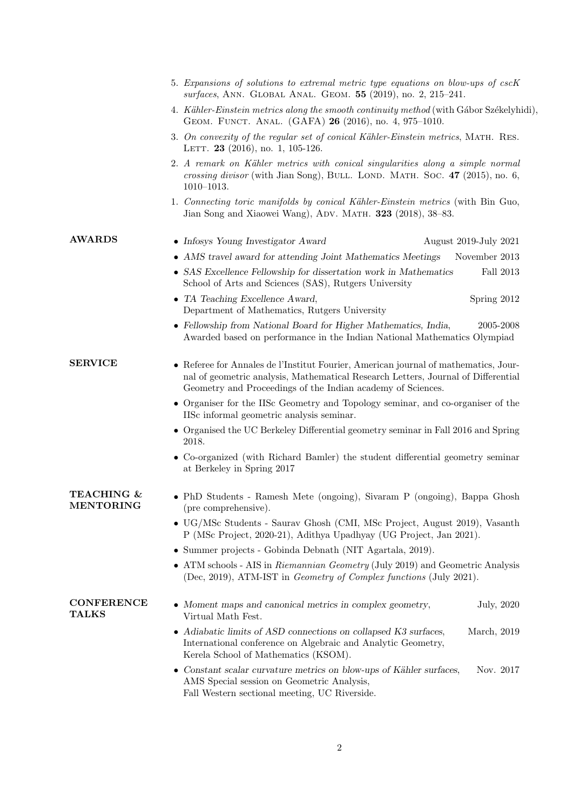| 5. Expansions of solutions to extremal metric type equations on blow-ups of cscK<br>surfaces, ANN. GLOBAL ANAL. GEOM. 55 (2019), no. 2, 215-241. |                                                                                                                                                                                                                                         |  |  |  |
|--------------------------------------------------------------------------------------------------------------------------------------------------|-----------------------------------------------------------------------------------------------------------------------------------------------------------------------------------------------------------------------------------------|--|--|--|
|                                                                                                                                                  | 4. Kähler-Einstein metrics along the smooth continuity method (with Gábor Székelyhidi).<br>GEOM. FUNCT. ANAL. (GAFA) 26 (2016), no. 4, 975-1010.                                                                                        |  |  |  |
|                                                                                                                                                  | 3. On convexity of the regular set of conical Kähler-Einstein metrics, MATH. RES.<br>LETT. 23 (2016), no. 1, 105-126.                                                                                                                   |  |  |  |
|                                                                                                                                                  | 2. A remark on Kähler metrics with conical singularities along a simple normal<br>crossing divisor (with Jian Song), BULL. LOND. MATH. Soc. $47$ (2015), no. 6,<br>$1010 - 1013.$                                                       |  |  |  |
|                                                                                                                                                  | 1. Connecting toric manifolds by conical Kähler-Einstein metrics (with Bin Guo,<br>Jian Song and Xiaowei Wang), ADV. MATH. 323 (2018), 38-83.                                                                                           |  |  |  |
| <b>AWARDS</b>                                                                                                                                    | • Infosys Young Investigator Award<br>August 2019-July 2021                                                                                                                                                                             |  |  |  |
|                                                                                                                                                  | • AMS travel award for attending Joint Mathematics Meetings<br>November 2013                                                                                                                                                            |  |  |  |
|                                                                                                                                                  | • SAS Excellence Fellowship for dissertation work in Mathematics<br>Fall 2013<br>School of Arts and Sciences (SAS), Rutgers University                                                                                                  |  |  |  |
|                                                                                                                                                  | • TA Teaching Excellence Award,<br>Spring 2012<br>Department of Mathematics, Rutgers University                                                                                                                                         |  |  |  |
|                                                                                                                                                  | • Fellowship from National Board for Higher Mathematics, India,<br>2005-2008<br>Awarded based on performance in the Indian National Mathematics Olympiad                                                                                |  |  |  |
| <b>SERVICE</b>                                                                                                                                   | • Referee for Annales de l'Institut Fourier, American journal of mathematics, Jour-<br>nal of geometric analysis, Mathematical Research Letters, Journal of Differential<br>Geometry and Proceedings of the Indian academy of Sciences. |  |  |  |
|                                                                                                                                                  | • Organiser for the IISc Geometry and Topology seminar, and co-organiser of the<br>IISc informal geometric analysis seminar.                                                                                                            |  |  |  |
|                                                                                                                                                  | • Organised the UC Berkeley Differential geometry seminar in Fall 2016 and Spring<br>2018.                                                                                                                                              |  |  |  |
|                                                                                                                                                  | • Co-organized (with Richard Bamler) the student differential geometry seminar<br>at Berkeley in Spring 2017                                                                                                                            |  |  |  |
| TEACHING &<br><b>MENTORING</b>                                                                                                                   | • PhD Students - Ramesh Mete (ongoing), Sivaram P (ongoing), Bappa Ghosh<br>(pre comprehensive).                                                                                                                                        |  |  |  |
|                                                                                                                                                  | • UG/MSc Students - Saurav Ghosh (CMI, MSc Project, August 2019), Vasanth<br>P (MSc Project, 2020-21), Adithya Upadhyay (UG Project, Jan 2021).                                                                                         |  |  |  |
|                                                                                                                                                  | • Summer projects - Gobinda Debnath (NIT Agartala, 2019).                                                                                                                                                                               |  |  |  |
|                                                                                                                                                  | • ATM schools - AIS in Riemannian Geometry (July 2019) and Geometric Analysis<br>(Dec, 2019), ATM-IST in <i>Geometry of Complex functions</i> (July 2021).                                                                              |  |  |  |
| <b>CONFERENCE</b><br><b>TALKS</b>                                                                                                                | • Moment maps and canonical metrics in complex geometry,<br>July, 2020<br>Virtual Math Fest.                                                                                                                                            |  |  |  |
|                                                                                                                                                  | • Adiabatic limits of ASD connections on collapsed K3 surfaces,<br>March, 2019<br>International conference on Algebraic and Analytic Geometry,<br>Kerela School of Mathematics (KSOM).                                                  |  |  |  |
|                                                                                                                                                  | • Constant scalar curvature metrics on blow-ups of Kähler surfaces,<br>Nov. 2017<br>AMS Special session on Geometric Analysis,<br>Fall Western sectional meeting, UC Riverside.                                                         |  |  |  |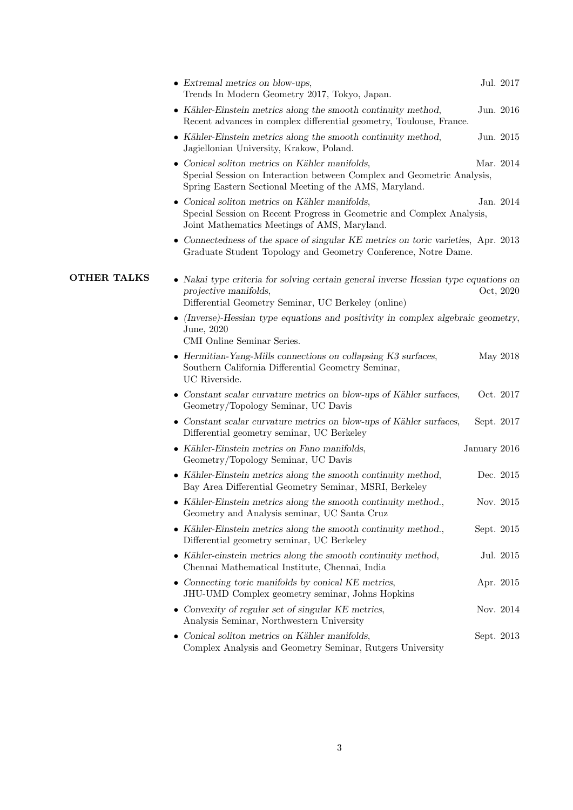|                    | • Extremal metrics on blow-ups,<br>Trends In Modern Geometry 2017, Tokyo, Japan.                                                                                                   | Jul. 2017    |
|--------------------|------------------------------------------------------------------------------------------------------------------------------------------------------------------------------------|--------------|
|                    | • Kähler-Einstein metrics along the smooth continuity method,<br>Recent advances in complex differential geometry, Toulouse, France.                                               | Jun. 2016    |
|                    | • Kähler-Einstein metrics along the smooth continuity method,<br>Jagiellonian University, Krakow, Poland.                                                                          | Jun. 2015    |
|                    | • Conical soliton metrics on Kähler manifolds,<br>Special Session on Interaction between Complex and Geometric Analysis,<br>Spring Eastern Sectional Meeting of the AMS, Maryland. | Mar. 2014    |
|                    | • Conical soliton metrics on Kähler manifolds,<br>Special Session on Recent Progress in Geometric and Complex Analysis,<br>Joint Mathematics Meetings of AMS, Maryland.            | Jan. 2014    |
|                    | • Connectedness of the space of singular KE metrics on toric varieties, Apr. 2013<br>Graduate Student Topology and Geometry Conference, Notre Dame.                                |              |
| <b>OTHER TALKS</b> | • Nakai type criteria for solving certain general inverse Hessian type equations on<br>projective manifolds,<br>Differential Geometry Seminar, UC Berkeley (online)                | Oct, 2020    |
|                    | (Inverse)-Hessian type equations and positivity in complex algebraic geometry,<br>June, 2020<br>CMI Online Seminar Series.                                                         |              |
|                    | • Hermitian-Yang-Mills connections on collapsing K3 surfaces,<br>Southern California Differential Geometry Seminar,<br>UC Riverside.                                               | May 2018     |
|                    | • Constant scalar curvature metrics on blow-ups of Kähler surfaces,<br>Geometry/Topology Seminar, UC Davis                                                                         | Oct. 2017    |
|                    | • Constant scalar curvature metrics on blow-ups of Kähler surfaces,<br>Differential geometry seminar, UC Berkeley                                                                  | Sept. 2017   |
|                    | • Kähler-Einstein metrics on Fano manifolds,<br>Geometry/Topology Seminar, UC Davis                                                                                                | January 2016 |
|                    | • Kähler-Einstein metrics along the smooth continuity method,<br>Bay Area Differential Geometry Seminar, MSRI, Berkeley                                                            | Dec. 2015    |
|                    | $\bullet$ Kähler-Einstein metrics along the smooth continuity method.,<br>Geometry and Analysis seminar, UC Santa Cruz                                                             | Nov. 2015    |
|                    | • Kähler-Einstein metrics along the smooth continuity method.,<br>Differential geometry seminar, UC Berkeley                                                                       | Sept. 2015   |
|                    | • Kähler-einstein metrics along the smooth continuity method,<br>Chennai Mathematical Institute, Chennai, India                                                                    | Jul. 2015    |
|                    | $\bullet$ Connecting toric manifolds by conical KE metrics,<br>JHU-UMD Complex geometry seminar, Johns Hopkins                                                                     | Apr. 2015    |
|                    | • Convexity of regular set of singular KE metrics,<br>Analysis Seminar, Northwestern University                                                                                    | Nov. 2014    |
|                    | • Conical soliton metrics on Kähler manifolds,<br>Complex Analysis and Geometry Seminar, Rutgers University                                                                        | Sept. 2013   |